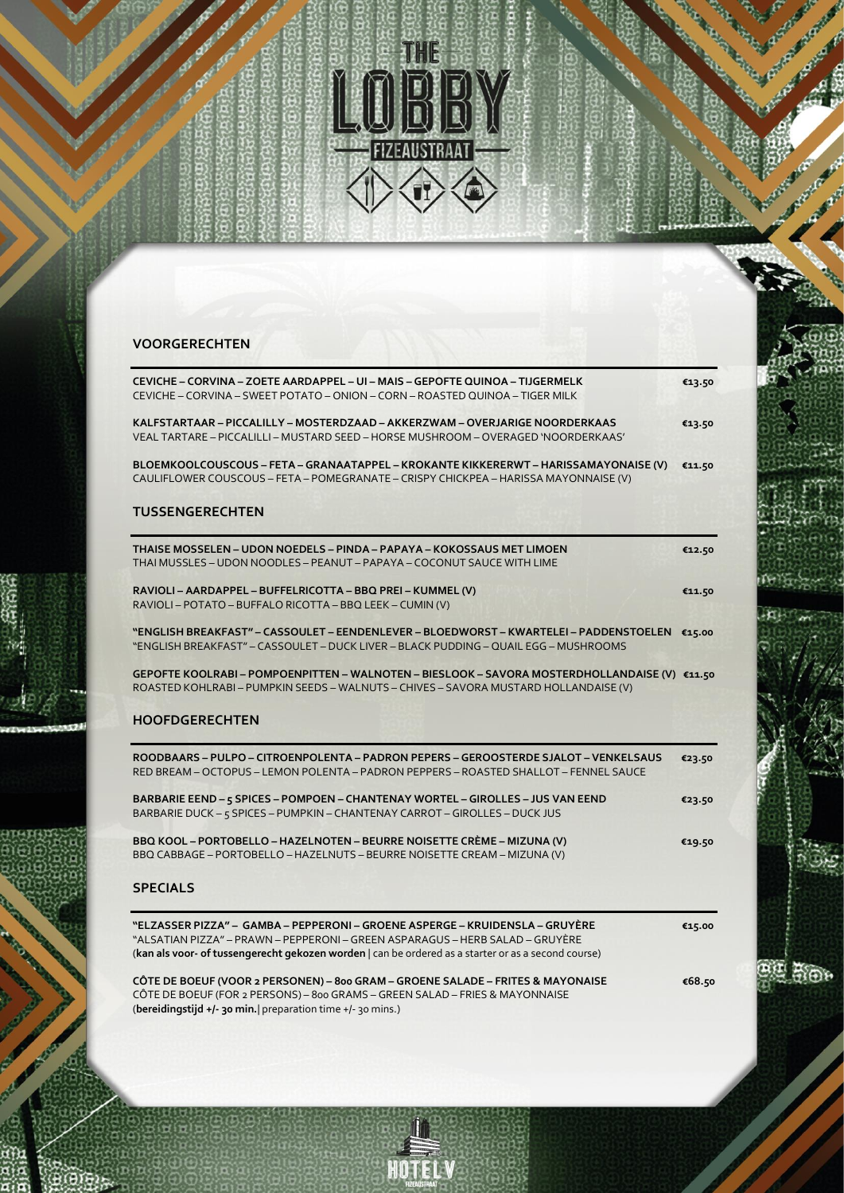

France County

**BILL** 

## **VOORGERECHTEN**

| CEVICHE – CORVINA – ZOETE AARDAPPEL – UI – MAIS – GEPOFTE QUINOA – TIJGERMELK<br>CEVICHE – CORVINA – SWEET POTATO – ONION – CORN – ROASTED QUINOA – TIGER MILK                                                                                                        | €13.50 |
|-----------------------------------------------------------------------------------------------------------------------------------------------------------------------------------------------------------------------------------------------------------------------|--------|
| KALFSTARTAAR – PICCALILLY – MOSTERDZAAD – AKKERZWAM – OVERJARIGE NOORDERKAAS<br>VEAL TARTARE - PICCALILLI - MUSTARD SEED - HORSE MUSHROOM - OVERAGED 'NOORDERKAAS'                                                                                                    | €13.50 |
| BLOEMKOOLCOUSCOUS - FETA - GRANAATAPPEL - KROKANTE KIKKERERWT - HARISSAMAYONAISE (V)<br>CAULIFLOWER COUSCOUS - FETA - POMEGRANATE - CRISPY CHICKPEA - HARISSA MAYONNAISE (V)                                                                                          | €11.50 |
| <b>TUSSENGERECHTEN</b>                                                                                                                                                                                                                                                |        |
| THAISE MOSSELEN – UDON NOEDELS – PINDA – PAPAYA – KOKOSSAUS MET LIMOEN<br>THAI MUSSLES - UDON NOODLES - PEANUT - PAPAYA - COCONUT SAUCE WITH LIME                                                                                                                     | €12.50 |
| RAVIOLI - AARDAPPEL - BUFFELRICOTTA - BBQ PREI - KUMMEL (V)<br>RAVIOLI - POTATO - BUFFALO RICOTTA - BBQ LEEK - CUMIN (V)                                                                                                                                              | €11.50 |
| "ENGLISH BREAKFAST" – CASSOULET – EENDENLEVER – BLOEDWORST – KWARTELEI – PADDENSTOELEN €15.00<br>"ENGLISH BREAKFAST" – CASSOULET – DUCK LIVER – BLACK PUDDING – QUAIL EGG – MUSHROOMS                                                                                 |        |
| GEPOFTE KOOLRABI - POMPOENPITTEN - WALNOTEN - BIESLOOK - SAVORA MOSTERDHOLLANDAISE (V) €11.50<br>ROASTED KOHLRABI - PUMPKIN SEEDS - WALNUTS - CHIVES - SAVORA MUSTARD HOLLANDAISE (V)                                                                                 |        |
| <b>HOOFDGERECHTEN</b>                                                                                                                                                                                                                                                 |        |
| ROODBAARS – PULPO – CITROENPOLENTA – PADRON PEPERS – GEROOSTERDE SJALOT – VENKELSAUS<br>RED BREAM - OCTOPUS - LEMON POLENTA - PADRON PEPPERS - ROASTED SHALLOT - FENNEL SAUCE                                                                                         | €23.50 |
| BARBARIE EEND - 5 SPICES - POMPOEN - CHANTENAY WORTEL - GIROLLES - JUS VAN EEND<br>BARBARIE DUCK - 5 SPICES - PUMPKIN - CHANTENAY CARROT - GIROLLES - DUCK JUS                                                                                                        | €23.50 |
| BBQ KOOL - PORTOBELLO - HAZELNOTEN - BEURRE NOISETTE CRÈME - MIZUNA (V)<br>BBQ CABBAGE - PORTOBELLO - HAZELNUTS - BEURRE NOISETTE CREAM - MIZUNA (V)                                                                                                                  | €19.50 |
| <b>SPECIALS</b>                                                                                                                                                                                                                                                       |        |
| "ELZASSER PIZZA" –  GAMBA – PEPPERONI – GROENE ASPERGE – KRUIDENSLA – GRUYÈRE<br>"ALSATIAN PIZZA" – PRAWN – PEPPERONI – GREEN ASPARAGUS – HERB SALAD – GRUYÈRE<br>(kan als voor- of tussengerecht gekozen worden   can be ordered as a starter or as a second course) | €15.00 |
| CÔTE DE BOEUF (VOOR 2 PERSONEN) - 800 GRAM - GROENE SALADE - FRITES & MAYONAISE<br>CÔTE DE BOEUF (FOR 2 PERSONS) - 800 GRAMS - GREEN SALAD - FRIES & MAYONNAISE                                                                                                       | €68.50 |

(**bereidingstijd +/- 30 min.**| preparation time +/- 30 mins.)